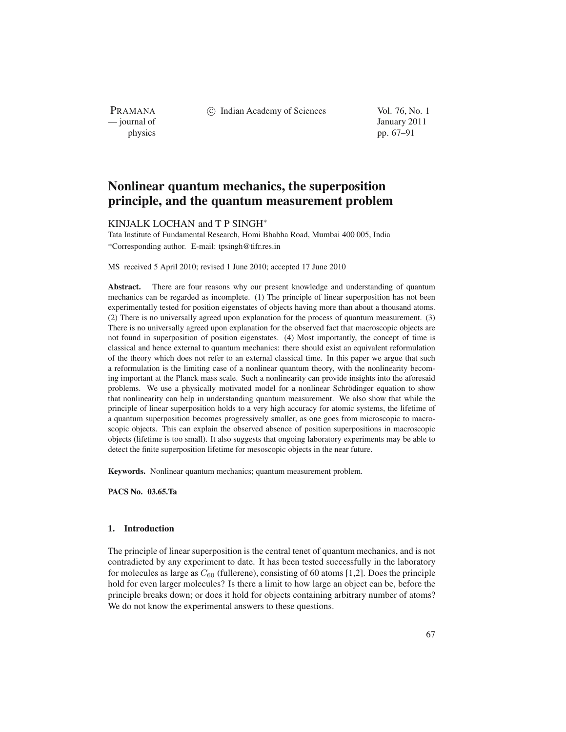PRAMANA<br>
— journal of

(c) Indian Academy of Sciences Vol. 76, No. 1

January 2011 physics pp. 67–91

# **Nonlinear quantum mechanics, the superposition principle, and the quantum measurement problem**

# KINJALK LOCHAN and T P SINGH∗

Tata Institute of Fundamental Research, Homi Bhabha Road, Mumbai 400 005, India \*Corresponding author. E-mail: tpsingh@tifr.res.in

MS received 5 April 2010; revised 1 June 2010; accepted 17 June 2010

**Abstract.** There are four reasons why our present knowledge and understanding of quantum mechanics can be regarded as incomplete. (1) The principle of linear superposition has not been experimentally tested for position eigenstates of objects having more than about a thousand atoms. (2) There is no universally agreed upon explanation for the process of quantum measurement. (3) There is no universally agreed upon explanation for the observed fact that macroscopic objects are not found in superposition of position eigenstates. (4) Most importantly, the concept of time is classical and hence external to quantum mechanics: there should exist an equivalent reformulation of the theory which does not refer to an external classical time. In this paper we argue that such a reformulation is the limiting case of a nonlinear quantum theory, with the nonlinearity becoming important at the Planck mass scale. Such a nonlinearity can provide insights into the aforesaid problems. We use a physically motivated model for a nonlinear Schrödinger equation to show that nonlinearity can help in understanding quantum measurement. We also show that while the principle of linear superposition holds to a very high accuracy for atomic systems, the lifetime of a quantum superposition becomes progressively smaller, as one goes from microscopic to macroscopic objects. This can explain the observed absence of position superpositions in macroscopic objects (lifetime is too small). It also suggests that ongoing laboratory experiments may be able to detect the finite superposition lifetime for mesoscopic objects in the near future.

**Keywords.** Nonlinear quantum mechanics; quantum measurement problem.

**PACS No. 03.65.Ta**

## **1. Introduction**

The principle of linear superposition is the central tenet of quantum mechanics, and is not contradicted by any experiment to date. It has been tested successfully in the laboratory for molecules as large as  $C_{60}$  (fullerene), consisting of 60 atoms [1,2]. Does the principle hold for even larger molecules? Is there a limit to how large an object can be, before the principle breaks down; or does it hold for objects containing arbitrary number of atoms? We do not know the experimental answers to these questions.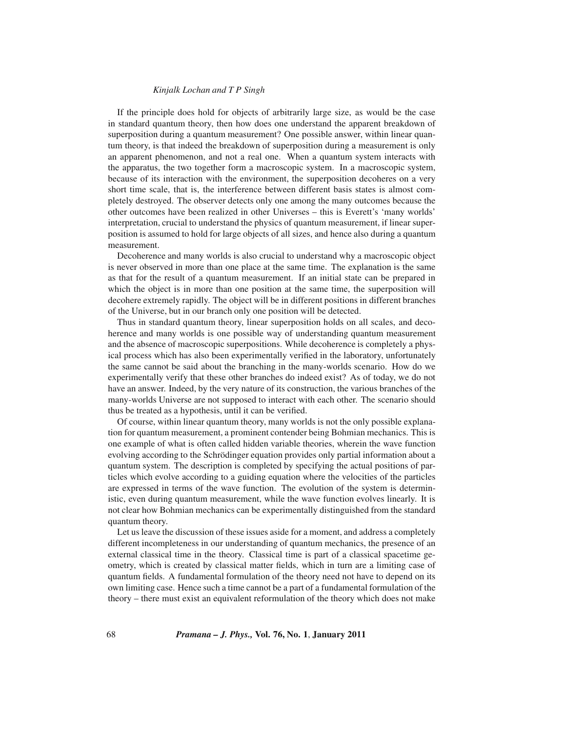If the principle does hold for objects of arbitrarily large size, as would be the case in standard quantum theory, then how does one understand the apparent breakdown of superposition during a quantum measurement? One possible answer, within linear quantum theory, is that indeed the breakdown of superposition during a measurement is only an apparent phenomenon, and not a real one. When a quantum system interacts with the apparatus, the two together form a macroscopic system. In a macroscopic system, because of its interaction with the environment, the superposition decoheres on a very short time scale, that is, the interference between different basis states is almost completely destroyed. The observer detects only one among the many outcomes because the other outcomes have been realized in other Universes – this is Everett's 'many worlds' interpretation, crucial to understand the physics of quantum measurement, if linear superposition is assumed to hold for large objects of all sizes, and hence also during a quantum measurement.

Decoherence and many worlds is also crucial to understand why a macroscopic object is never observed in more than one place at the same time. The explanation is the same as that for the result of a quantum measurement. If an initial state can be prepared in which the object is in more than one position at the same time, the superposition will decohere extremely rapidly. The object will be in different positions in different branches of the Universe, but in our branch only one position will be detected.

Thus in standard quantum theory, linear superposition holds on all scales, and decoherence and many worlds is one possible way of understanding quantum measurement and the absence of macroscopic superpositions. While decoherence is completely a physical process which has also been experimentally verified in the laboratory, unfortunately the same cannot be said about the branching in the many-worlds scenario. How do we experimentally verify that these other branches do indeed exist? As of today, we do not have an answer. Indeed, by the very nature of its construction, the various branches of the many-worlds Universe are not supposed to interact with each other. The scenario should thus be treated as a hypothesis, until it can be verified.

Of course, within linear quantum theory, many worlds is not the only possible explanation for quantum measurement, a prominent contender being Bohmian mechanics. This is one example of what is often called hidden variable theories, wherein the wave function evolving according to the Schrödinger equation provides only partial information about a quantum system. The description is completed by specifying the actual positions of particles which evolve according to a guiding equation where the velocities of the particles are expressed in terms of the wave function. The evolution of the system is deterministic, even during quantum measurement, while the wave function evolves linearly. It is not clear how Bohmian mechanics can be experimentally distinguished from the standard quantum theory.

Let us leave the discussion of these issues aside for a moment, and address a completely different incompleteness in our understanding of quantum mechanics, the presence of an external classical time in the theory. Classical time is part of a classical spacetime geometry, which is created by classical matter fields, which in turn are a limiting case of quantum fields. A fundamental formulation of the theory need not have to depend on its own limiting case. Hence such a time cannot be a part of a fundamental formulation of the theory – there must exist an equivalent reformulation of the theory which does not make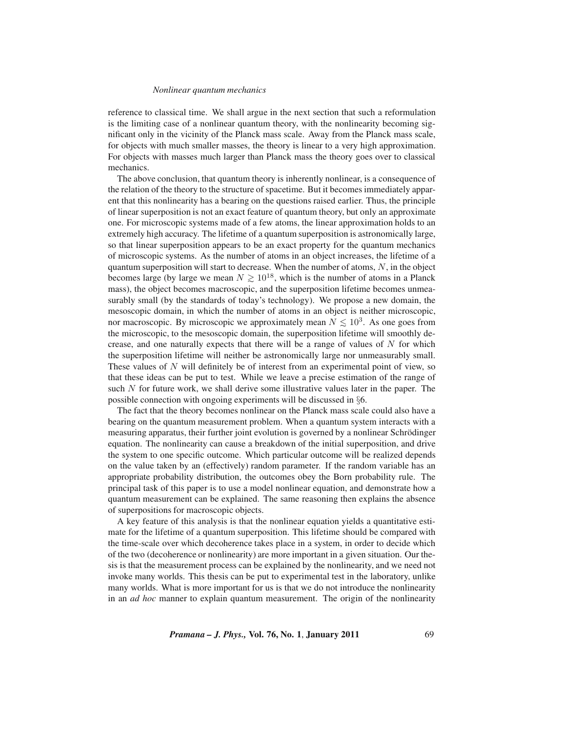reference to classical time. We shall argue in the next section that such a reformulation is the limiting case of a nonlinear quantum theory, with the nonlinearity becoming significant only in the vicinity of the Planck mass scale. Away from the Planck mass scale, for objects with much smaller masses, the theory is linear to a very high approximation. For objects with masses much larger than Planck mass the theory goes over to classical mechanics.

The above conclusion, that quantum theory is inherently nonlinear, is a consequence of the relation of the theory to the structure of spacetime. But it becomes immediately apparent that this nonlinearity has a bearing on the questions raised earlier. Thus, the principle of linear superposition is not an exact feature of quantum theory, but only an approximate one. For microscopic systems made of a few atoms, the linear approximation holds to an extremely high accuracy. The lifetime of a quantum superposition is astronomically large, so that linear superposition appears to be an exact property for the quantum mechanics of microscopic systems. As the number of atoms in an object increases, the lifetime of a quantum superposition will start to decrease. When the number of atoms,  $N$ , in the object becomes large (by large we mean  $N \gtrsim 10^{18}$ , which is the number of atoms in a Planck mass), the object becomes macroscopic, and the superposition lifetime becomes unmeasurably small (by the standards of today's technology). We propose a new domain, the mesoscopic domain, in which the number of atoms in an object is neither microscopic, nor macroscopic. By microscopic we approximately mean  $N \leq 10^3$ . As one goes from the microscopic, to the mesoscopic domain, the superposition lifetime will smoothly decrease, and one naturally expects that there will be a range of values of  $N$  for which the superposition lifetime will neither be astronomically large nor unmeasurably small. These values of  $N$  will definitely be of interest from an experimental point of view, so that these ideas can be put to test. While we leave a precise estimation of the range of such N for future work, we shall derive some illustrative values later in the paper. The possible connection with ongoing experiments will be discussed in §6.

The fact that the theory becomes nonlinear on the Planck mass scale could also have a bearing on the quantum measurement problem. When a quantum system interacts with a measuring apparatus, their further joint evolution is governed by a nonlinear Schrödinger equation. The nonlinearity can cause a breakdown of the initial superposition, and drive the system to one specific outcome. Which particular outcome will be realized depends on the value taken by an (effectively) random parameter. If the random variable has an appropriate probability distribution, the outcomes obey the Born probability rule. The principal task of this paper is to use a model nonlinear equation, and demonstrate how a quantum measurement can be explained. The same reasoning then explains the absence of superpositions for macroscopic objects.

A key feature of this analysis is that the nonlinear equation yields a quantitative estimate for the lifetime of a quantum superposition. This lifetime should be compared with the time-scale over which decoherence takes place in a system, in order to decide which of the two (decoherence or nonlinearity) are more important in a given situation. Our thesis is that the measurement process can be explained by the nonlinearity, and we need not invoke many worlds. This thesis can be put to experimental test in the laboratory, unlike many worlds. What is more important for us is that we do not introduce the nonlinearity in an *ad hoc* manner to explain quantum measurement. The origin of the nonlinearity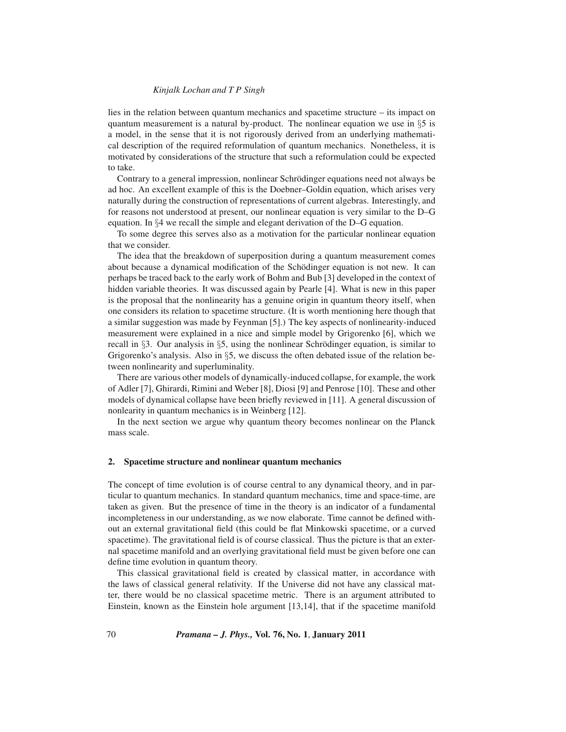lies in the relation between quantum mechanics and spacetime structure – its impact on quantum measurement is a natural by-product. The nonlinear equation we use in  $\S5$  is a model, in the sense that it is not rigorously derived from an underlying mathematical description of the required reformulation of quantum mechanics. Nonetheless, it is motivated by considerations of the structure that such a reformulation could be expected to take.

Contrary to a general impression, nonlinear Schrödinger equations need not always be ad hoc. An excellent example of this is the Doebner–Goldin equation, which arises very naturally during the construction of representations of current algebras. Interestingly, and for reasons not understood at present, our nonlinear equation is very similar to the D–G equation. In §4 we recall the simple and elegant derivation of the D–G equation.

To some degree this serves also as a motivation for the particular nonlinear equation that we consider.

The idea that the breakdown of superposition during a quantum measurement comes about because a dynamical modification of the Schödinger equation is not new. It can perhaps be traced back to the early work of Bohm and Bub [3] developed in the context of hidden variable theories. It was discussed again by Pearle [4]. What is new in this paper is the proposal that the nonlinearity has a genuine origin in quantum theory itself, when one considers its relation to spacetime structure. (It is worth mentioning here though that a similar suggestion was made by Feynman [5].) The key aspects of nonlinearity-induced measurement were explained in a nice and simple model by Grigorenko [6], which we recall in §3. Our analysis in §5, using the nonlinear Schrödinger equation, is similar to Grigorenko's analysis. Also in  $\S$ 5, we discuss the often debated issue of the relation between nonlinearity and superluminality.

There are various other models of dynamically-induced collapse, for example, the work of Adler [7], Ghirardi, Rimini and Weber [8], Diosi [9] and Penrose [10]. These and other models of dynamical collapse have been briefly reviewed in [11]. A general discussion of nonlearity in quantum mechanics is in Weinberg [12].

In the next section we argue why quantum theory becomes nonlinear on the Planck mass scale.

# **2. Spacetime structure and nonlinear quantum mechanics**

The concept of time evolution is of course central to any dynamical theory, and in particular to quantum mechanics. In standard quantum mechanics, time and space-time, are taken as given. But the presence of time in the theory is an indicator of a fundamental incompleteness in our understanding, as we now elaborate. Time cannot be defined without an external gravitational field (this could be flat Minkowski spacetime, or a curved spacetime). The gravitational field is of course classical. Thus the picture is that an external spacetime manifold and an overlying gravitational field must be given before one can define time evolution in quantum theory.

This classical gravitational field is created by classical matter, in accordance with the laws of classical general relativity. If the Universe did not have any classical matter, there would be no classical spacetime metric. There is an argument attributed to Einstein, known as the Einstein hole argument [13,14], that if the spacetime manifold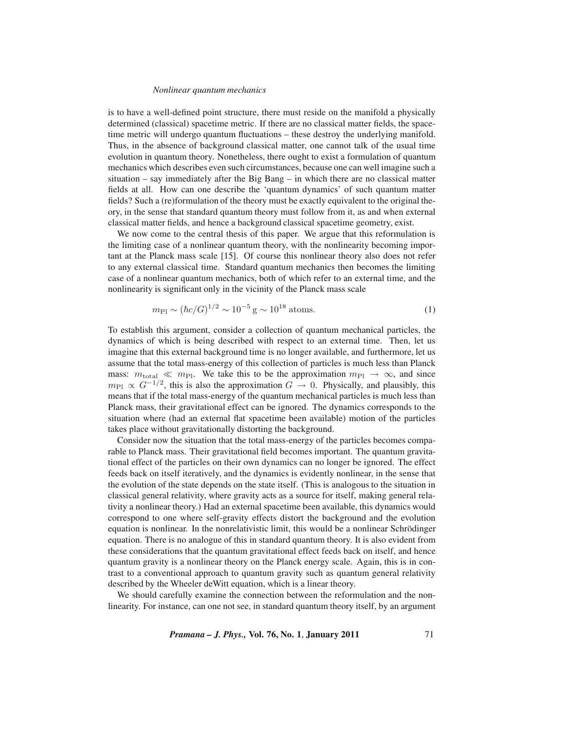is to have a well-defined point structure, there must reside on the manifold a physically determined (classical) spacetime metric. If there are no classical matter fields, the spacetime metric will undergo quantum fluctuations – these destroy the underlying manifold. Thus, in the absence of background classical matter, one cannot talk of the usual time evolution in quantum theory. Nonetheless, there ought to exist a formulation of quantum mechanics which describes even such circumstances, because one can well imagine such a situation  $-$  say immediately after the Big Bang  $-$  in which there are no classical matter fields at all. How can one describe the 'quantum dynamics' of such quantum matter fields? Such a (re)formulation of the theory must be exactly equivalent to the original theory, in the sense that standard quantum theory must follow from it, as and when external classical matter fields, and hence a background classical spacetime geometry, exist.

We now come to the central thesis of this paper. We argue that this reformulation is the limiting case of a nonlinear quantum theory, with the nonlinearity becoming important at the Planck mass scale [15]. Of course this nonlinear theory also does not refer to any external classical time. Standard quantum mechanics then becomes the limiting case of a nonlinear quantum mechanics, both of which refer to an external time, and the nonlinearity is significant only in the vicinity of the Planck mass scale

$$
m_{\rm Pl} \sim (\hbar c/G)^{1/2} \sim 10^{-5} \, \text{g} \sim 10^{18} \, \text{atoms.} \tag{1}
$$

To establish this argument, consider a collection of quantum mechanical particles, the dynamics of which is being described with respect to an external time. Then, let us imagine that this external background time is no longer available, and furthermore, let us assume that the total mass-energy of this collection of particles is much less than Planck mass:  $m_{\text{total}} \ll m_{\text{Pl}}$ . We take this to be the approximation  $m_{\text{Pl}} \to \infty$ , and since  $m_{\text{Pl}} \propto G^{-1/2}$ , this is also the approximation  $G \rightarrow 0$ . Physically, and plausibly, this means that if the total mass-energy of the quantum mechanical particles is much less than Planck mass, their gravitational effect can be ignored. The dynamics corresponds to the situation where (had an external flat spacetime been available) motion of the particles takes place without gravitationally distorting the background.

Consider now the situation that the total mass-energy of the particles becomes comparable to Planck mass. Their gravitational field becomes important. The quantum gravitational effect of the particles on their own dynamics can no longer be ignored. The effect feeds back on itself iteratively, and the dynamics is evidently nonlinear, in the sense that the evolution of the state depends on the state itself. (This is analogous to the situation in classical general relativity, where gravity acts as a source for itself, making general relativity a nonlinear theory.) Had an external spacetime been available, this dynamics would correspond to one where self-gravity effects distort the background and the evolution equation is nonlinear. In the nonrelativistic limit, this would be a nonlinear Schrödinger equation. There is no analogue of this in standard quantum theory. It is also evident from these considerations that the quantum gravitational effect feeds back on itself, and hence quantum gravity is a nonlinear theory on the Planck energy scale. Again, this is in contrast to a conventional approach to quantum gravity such as quantum general relativity described by the Wheeler deWitt equation, which is a linear theory.

We should carefully examine the connection between the reformulation and the nonlinearity. For instance, can one not see, in standard quantum theory itself, by an argument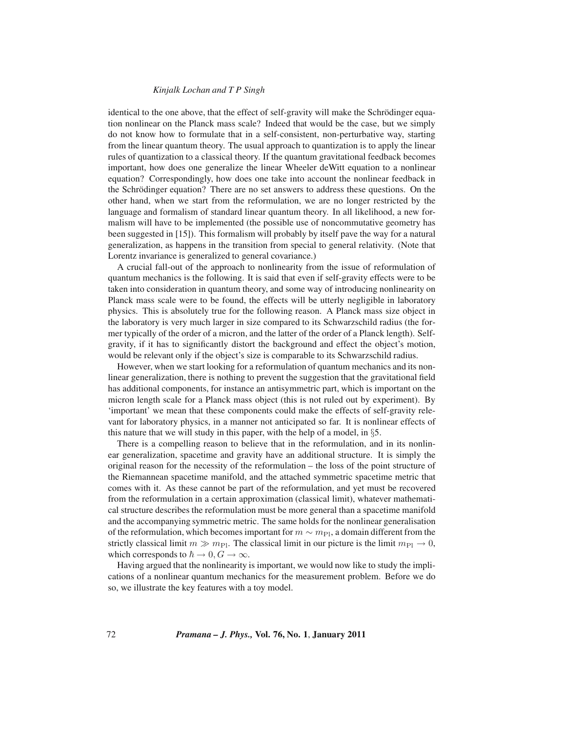identical to the one above, that the effect of self-gravity will make the Schrödinger equation nonlinear on the Planck mass scale? Indeed that would be the case, but we simply do not know how to formulate that in a self-consistent, non-perturbative way, starting from the linear quantum theory. The usual approach to quantization is to apply the linear rules of quantization to a classical theory. If the quantum gravitational feedback becomes important, how does one generalize the linear Wheeler deWitt equation to a nonlinear equation? Correspondingly, how does one take into account the nonlinear feedback in the Schrödinger equation? There are no set answers to address these questions. On the other hand, when we start from the reformulation, we are no longer restricted by the language and formalism of standard linear quantum theory. In all likelihood, a new formalism will have to be implemented (the possible use of noncommutative geometry has been suggested in [15]). This formalism will probably by itself pave the way for a natural generalization, as happens in the transition from special to general relativity. (Note that Lorentz invariance is generalized to general covariance.)

A crucial fall-out of the approach to nonlinearity from the issue of reformulation of quantum mechanics is the following. It is said that even if self-gravity effects were to be taken into consideration in quantum theory, and some way of introducing nonlinearity on Planck mass scale were to be found, the effects will be utterly negligible in laboratory physics. This is absolutely true for the following reason. A Planck mass size object in the laboratory is very much larger in size compared to its Schwarzschild radius (the former typically of the order of a micron, and the latter of the order of a Planck length). Selfgravity, if it has to significantly distort the background and effect the object's motion, would be relevant only if the object's size is comparable to its Schwarzschild radius.

However, when we start looking for a reformulation of quantum mechanics and its nonlinear generalization, there is nothing to prevent the suggestion that the gravitational field has additional components, for instance an antisymmetric part, which is important on the micron length scale for a Planck mass object (this is not ruled out by experiment). By 'important' we mean that these components could make the effects of self-gravity relevant for laboratory physics, in a manner not anticipated so far. It is nonlinear effects of this nature that we will study in this paper, with the help of a model, in §5.

There is a compelling reason to believe that in the reformulation, and in its nonlinear generalization, spacetime and gravity have an additional structure. It is simply the original reason for the necessity of the reformulation – the loss of the point structure of the Riemannean spacetime manifold, and the attached symmetric spacetime metric that comes with it. As these cannot be part of the reformulation, and yet must be recovered from the reformulation in a certain approximation (classical limit), whatever mathematical structure describes the reformulation must be more general than a spacetime manifold and the accompanying symmetric metric. The same holds for the nonlinear generalisation of the reformulation, which becomes important for  $m \sim m_{\rm Pl}$ , a domain different from the strictly classical limit  $m \gg m_{\text{Pl}}$ . The classical limit in our picture is the limit  $m_{\text{Pl}} \to 0$ , which corresponds to  $\hbar \to 0, G \to \infty$ .

Having argued that the nonlinearity is important, we would now like to study the implications of a nonlinear quantum mechanics for the measurement problem. Before we do so, we illustrate the key features with a toy model.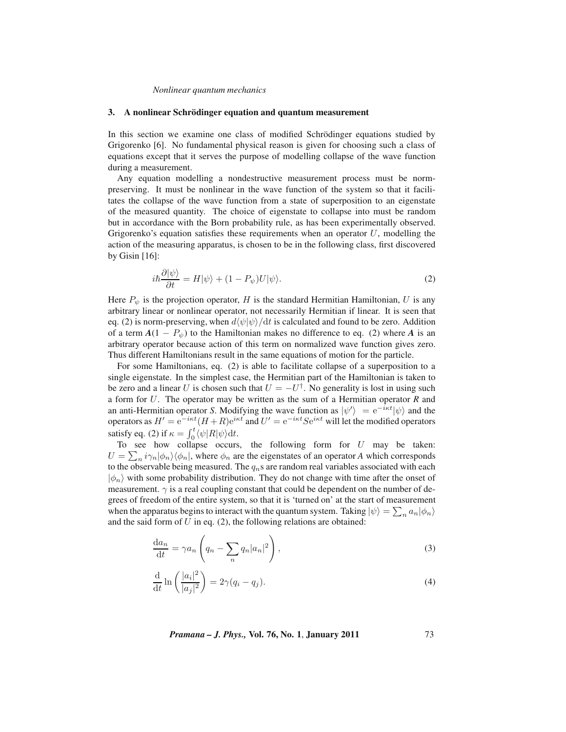## **3.** A nonlinear Schrödinger equation and quantum measurement

In this section we examine one class of modified Schrödinger equations studied by Grigorenko [6]. No fundamental physical reason is given for choosing such a class of equations except that it serves the purpose of modelling collapse of the wave function during a measurement.

Any equation modelling a nondestructive measurement process must be normpreserving. It must be nonlinear in the wave function of the system so that it facilitates the collapse of the wave function from a state of superposition to an eigenstate of the measured quantity. The choice of eigenstate to collapse into must be random but in accordance with the Born probability rule, as has been experimentally observed. Grigorenko's equation satisfies these requirements when an operator  $U$ , modelling the action of the measuring apparatus, is chosen to be in the following class, first discovered by Gisin [16]:

$$
i\hbar \frac{\partial |\psi\rangle}{\partial t} = H|\psi\rangle + (1 - P_{\psi})U|\psi\rangle.
$$
 (2)

Here  $P_{\psi}$  is the projection operator, H is the standard Hermitian Hamiltonian, U is any arbitrary linear or nonlinear operator, not necessarily Hermitian if linear. It is seen that eq. (2) is norm-preserving, when  $d\langle \psi | \psi \rangle / dt$  is calculated and found to be zero. Addition of a term  $A(1 - P_{\psi})$  to the Hamiltonian makes no difference to eq. (2) where A is an arbitrary operator because action of this term on normalized wave function gives zero. Thus different Hamiltonians result in the same equations of motion for the particle.

For some Hamiltonians, eq. (2) is able to facilitate collapse of a superposition to a single eigenstate. In the simplest case, the Hermitian part of the Hamiltonian is taken to be zero and a linear U is chosen such that  $U = -U^{\dagger}$ . No generality is lost in using such a form for U. The operator may be written as the sum of a Hermitian operator *R* and an anti-Hermitian operator *S*. Modifying the wave function as  $|\psi'\rangle = e^{-i\kappa t}|\psi\rangle$  and the operators as  $H' = e^{-i\kappa t} (H + R)e^{i\kappa t}$  and  $U' = e^{-i\kappa t} S e^{i\kappa t}$  will let the modified operators satisfy eq. (2) if  $\kappa = \int_0^t \langle \psi | R | \psi \rangle dt$ .

To see how collapse occurs, the following form for  $U$  may be taken:  $U = \sum_{n} i\gamma_n |\phi_n\rangle\langle\phi_n|$ , where  $\phi_n$  are the eigenstates of an operator *A* which corresponds to the observable being measured. The  $q_n$ s are random real variables associated with each  $|\phi_n\rangle$  with some probability distribution. They do not change with time after the onset of measurement.  $\gamma$  is a real coupling constant that could be dependent on the number of degrees of freedom of the entire system, so that it is 'turned on' at the start of measurement when the apparatus begins to interact with the quantum system. Taking  $|\psi\rangle = \sum_n a_n |\phi_n\rangle$ and the said form of  $U$  in eq. (2), the following relations are obtained:

$$
\frac{da_n}{dt} = \gamma a_n \left( q_n - \sum_n q_n |a_n|^2 \right),\tag{3}
$$

$$
\frac{\mathrm{d}}{\mathrm{d}t} \ln \left( \frac{|a_i|^2}{|a_j|^2} \right) = 2\gamma (q_i - q_j). \tag{4}
$$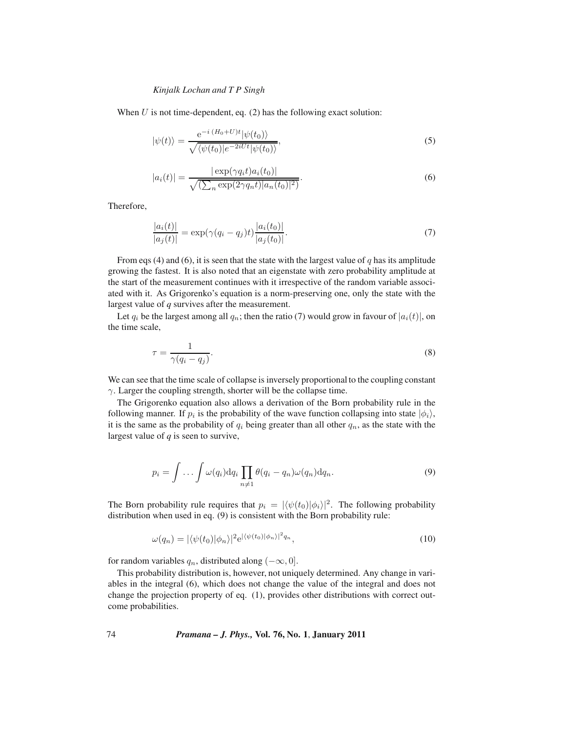When  $U$  is not time-dependent, eq. (2) has the following exact solution:

$$
|\psi(t)\rangle = \frac{e^{-i(H_0+U)t}|\psi(t_0)\rangle}{\sqrt{\langle\psi(t_0)|e^{-2iUt}|\psi(t_0)\rangle}},
$$
\n(5)

$$
|a_i(t)| = \frac{|\exp(\gamma q_i t)a_i(t_0)|}{\sqrt{(\sum_n \exp(2\gamma q_n t)|a_n(t_0)|^2)}}.
$$
\n
$$
(6)
$$

Therefore,

$$
\frac{|a_i(t)|}{|a_j(t)|} = \exp(\gamma(q_i - q_j)t) \frac{|a_i(t_0)|}{|a_j(t_0)|}.
$$
\n(7)

From eqs (4) and (6), it is seen that the state with the largest value of q has its amplitude growing the fastest. It is also noted that an eigenstate with zero probability amplitude at the start of the measurement continues with it irrespective of the random variable associated with it. As Grigorenko's equation is a norm-preserving one, only the state with the largest value of *q* survives after the measurement.

Let  $q_i$  be the largest among all  $q_n$ ; then the ratio (7) would grow in favour of  $|a_i(t)|$ , on the time scale,

$$
\tau = \frac{1}{\gamma (q_i - q_j)}.\tag{8}
$$

We can see that the time scale of collapse is inversely proportional to the coupling constant  $\gamma$ . Larger the coupling strength, shorter will be the collapse time.

The Grigorenko equation also allows a derivation of the Born probability rule in the following manner. If  $p_i$  is the probability of the wave function collapsing into state  $|\phi_i\rangle$ , it is the same as the probability of  $q_i$  being greater than all other  $q_n$ , as the state with the largest value of *q* is seen to survive,

$$
p_i = \int \dots \int \omega(q_i) dq_i \prod_{n \neq 1} \theta(q_i - q_n) \omega(q_n) dq_n.
$$
 (9)

The Born probability rule requires that  $p_i = |\langle \psi(t_0)|\phi_i\rangle|^2$ . The following probability distribution when used in eq. (9) is consistent with the Born probability rule:

$$
\omega(q_n) = |\langle \psi(t_0) | \phi_n \rangle|^2 e^{|\langle \psi(t_0) | \phi_n \rangle|^2 q_n}, \tag{10}
$$

for random variables  $q_n$ , distributed along  $(-\infty, 0]$ .

This probability distribution is, however, not uniquely determined. Any change in variables in the integral (6), which does not change the value of the integral and does not change the projection property of eq. (1), provides other distributions with correct outcome probabilities.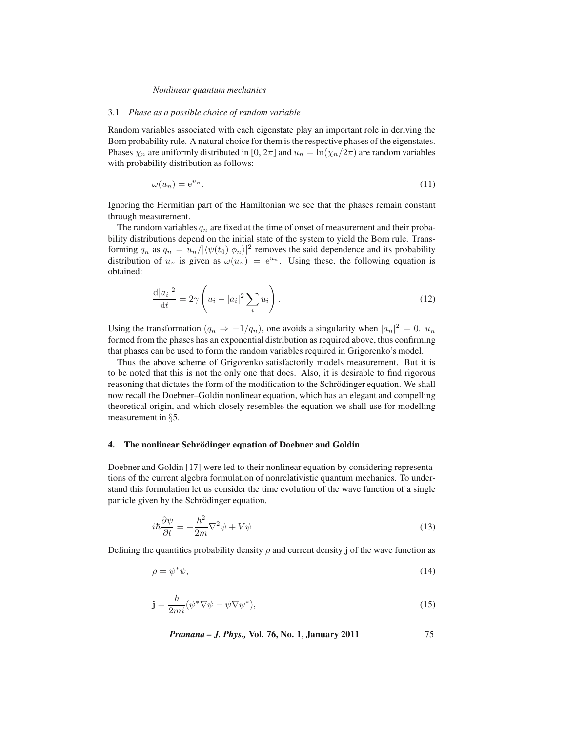## 3.1 *Phase as a possible choice of random variable*

Random variables associated with each eigenstate play an important role in deriving the Born probability rule. A natural choice for them is the respective phases of the eigenstates. Phases  $\chi_n$  are uniformly distributed in [0, 2π] and  $u_n = \ln(\chi_n/2\pi)$  are random variables with probability distribution as follows:

$$
\omega(u_n) = e^{u_n}.\tag{11}
$$

Ignoring the Hermitian part of the Hamiltonian we see that the phases remain constant through measurement.

The random variables  $q_n$  are fixed at the time of onset of measurement and their probability distributions depend on the initial state of the system to yield the Born rule. Transforming  $q_n$  as  $q_n = u_n / |\langle \psi(t_0) | \phi_n \rangle|^2$  removes the said dependence and its probability distribution of  $u_n$  is given as  $\omega(u_n)=e^{u_n}$ . Using these, the following equation is obtained:

$$
\frac{\mathrm{d}|a_i|^2}{\mathrm{d}t} = 2\gamma \left( u_i - |a_i|^2 \sum_i u_i \right). \tag{12}
$$

Using the transformation  $(q_n \Rightarrow -1/q_n)$ , one avoids a singularity when  $|a_n|^2 = 0$ .  $u_n$ formed from the phases has an exponential distribution as required above, thus confirming that phases can be used to form the random variables required in Grigorenko's model.

Thus the above scheme of Grigorenko satisfactorily models measurement. But it is to be noted that this is not the only one that does. Also, it is desirable to find rigorous reasoning that dictates the form of the modification to the Schrödinger equation. We shall now recall the Doebner–Goldin nonlinear equation, which has an elegant and compelling theoretical origin, and which closely resembles the equation we shall use for modelling measurement in §5.

## **4.** The nonlinear Schrödinger equation of Doebner and Goldin

Doebner and Goldin [17] were led to their nonlinear equation by considering representations of the current algebra formulation of nonrelativistic quantum mechanics. To understand this formulation let us consider the time evolution of the wave function of a single particle given by the Schrödinger equation.

$$
i\hbar \frac{\partial \psi}{\partial t} = -\frac{\hbar^2}{2m} \nabla^2 \psi + V \psi.
$$
 (13)

Defining the quantities probability density  $\rho$  and current density **j** of the wave function as

$$
\rho = \psi^* \psi,\tag{14}
$$

$$
\mathbf{j} = \frac{\hbar}{2mi} (\psi^* \nabla \psi - \psi \nabla \psi^*),\tag{15}
$$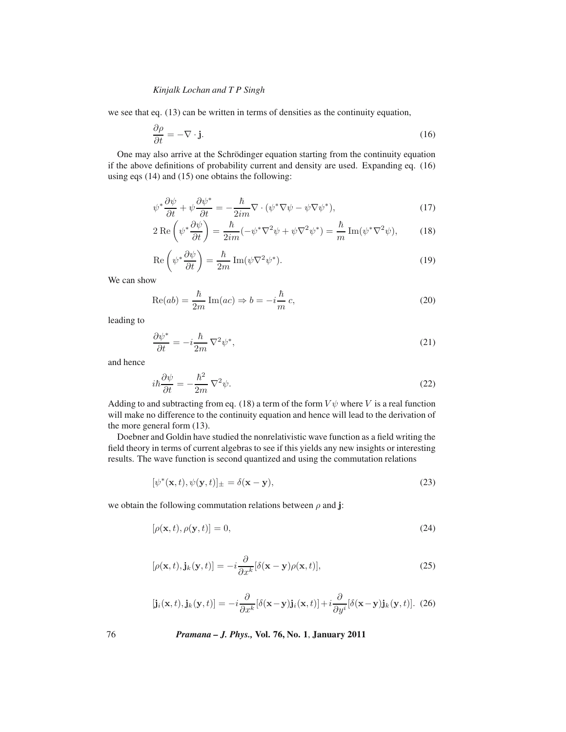we see that eq. (13) can be written in terms of densities as the continuity equation,

$$
\frac{\partial \rho}{\partial t} = -\nabla \cdot \mathbf{j}.\tag{16}
$$

One may also arrive at the Schrödinger equation starting from the continuity equation if the above definitions of probability current and density are used. Expanding eq. (16) using eqs (14) and (15) one obtains the following:

$$
\psi^* \frac{\partial \psi}{\partial t} + \psi \frac{\partial \psi^*}{\partial t} = -\frac{\hbar}{2im} \nabla \cdot (\psi^* \nabla \psi - \psi \nabla \psi^*), \tag{17}
$$

$$
2 \operatorname{Re} \left( \psi^* \frac{\partial \psi}{\partial t} \right) = \frac{\hbar}{2im} (-\psi^* \nabla^2 \psi + \psi \nabla^2 \psi^*) = \frac{\hbar}{m} \operatorname{Im} (\psi^* \nabla^2 \psi), \tag{18}
$$

$$
\operatorname{Re}\left(\psi^*\frac{\partial\psi}{\partial t}\right) = \frac{\hbar}{2m}\operatorname{Im}(\psi\nabla^2\psi^*).
$$
 (19)

We can show

$$
Re(ab) = \frac{\hbar}{2m} Im(ac) \Rightarrow b = -i\frac{\hbar}{m} c,
$$
\n(20)

leading to

$$
\frac{\partial \psi^*}{\partial t} = -i \frac{\hbar}{2m} \nabla^2 \psi^*,\tag{21}
$$

and hence

$$
i\hbar \frac{\partial \psi}{\partial t} = -\frac{\hbar^2}{2m} \nabla^2 \psi.
$$
 (22)

Adding to and subtracting from eq. (18) a term of the form  $V\psi$  where V is a real function will make no difference to the continuity equation and hence will lead to the derivation of the more general form (13).

Doebner and Goldin have studied the nonrelativistic wave function as a field writing the field theory in terms of current algebras to see if this yields any new insights or interesting results. The wave function is second quantized and using the commutation relations

$$
[\psi^*(\mathbf{x},t),\psi(\mathbf{y},t)]_{\pm} = \delta(\mathbf{x}-\mathbf{y}),\tag{23}
$$

we obtain the following commutation relations between  $\rho$  and **j**:

$$
[\rho(\mathbf{x},t),\rho(\mathbf{y},t)]=0,\tag{24}
$$

$$
[\rho(\mathbf{x},t), \mathbf{j}_k(\mathbf{y},t)] = -i \frac{\partial}{\partial x^k} [\delta(\mathbf{x}-\mathbf{y})\rho(\mathbf{x},t)],
$$
\n(25)

$$
[\mathbf{j}_i(\mathbf{x},t), \mathbf{j}_k(\mathbf{y},t)] = -i \frac{\partial}{\partial x^k} [\delta(\mathbf{x}-\mathbf{y}) \mathbf{j}_i(\mathbf{x},t)] + i \frac{\partial}{\partial y^i} [\delta(\mathbf{x}-\mathbf{y}) \mathbf{j}_k(\mathbf{y},t)]. \tag{26}
$$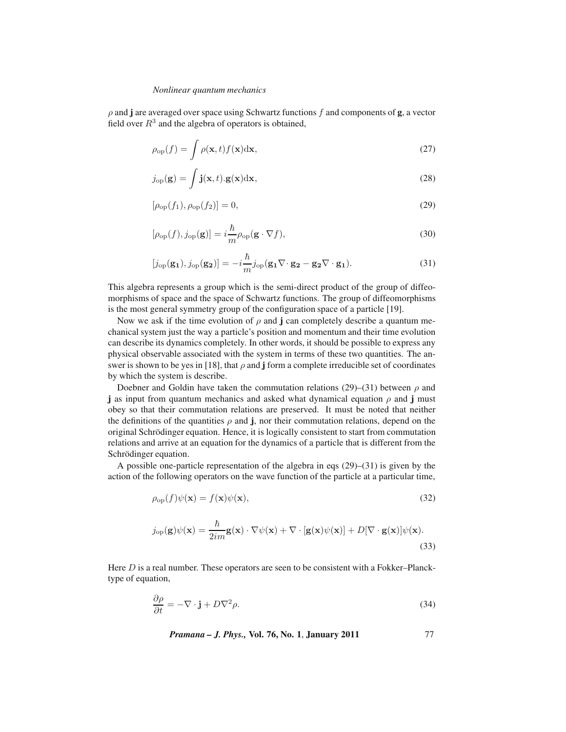$\rho$  and **j** are averaged over space using Schwartz functions f and components of **g**, a vector field over  $R<sup>3</sup>$  and the algebra of operators is obtained,

$$
\rho_{\rm op}(f) = \int \rho(\mathbf{x}, t) f(\mathbf{x}) \mathrm{d}\mathbf{x},\tag{27}
$$

$$
j_{op}(\mathbf{g}) = \int \mathbf{j}(\mathbf{x}, t) \cdot \mathbf{g}(\mathbf{x}) \mathrm{d}\mathbf{x},\tag{28}
$$

$$
[\rho_{\rm op}(f_1), \rho_{\rm op}(f_2)] = 0,\tag{29}
$$

$$
[\rho_{\rm op}(f), j_{\rm op}(\mathbf{g})] = i \frac{\hbar}{m} \rho_{\rm op}(\mathbf{g} \cdot \nabla f), \tag{30}
$$

$$
[j_{\rm op}(\mathbf{g_1}), j_{\rm op}(\mathbf{g_2})] = -i\frac{\hbar}{m} j_{\rm op}(\mathbf{g_1} \nabla \cdot \mathbf{g_2} - \mathbf{g_2} \nabla \cdot \mathbf{g_1}).\tag{31}
$$

This algebra represents a group which is the semi-direct product of the group of diffeomorphisms of space and the space of Schwartz functions. The group of diffeomorphisms is the most general symmetry group of the configuration space of a particle [19].

Now we ask if the time evolution of  $\rho$  and **j** can completely describe a quantum mechanical system just the way a particle's position and momentum and their time evolution can describe its dynamics completely. In other words, it should be possible to express any physical observable associated with the system in terms of these two quantities. The answer is shown to be yes in [18], that  $\rho$  and **j** form a complete irreducible set of coordinates by which the system is describe.

Doebner and Goldin have taken the commutation relations (29)–(31) between  $\rho$  and **j** as input from quantum mechanics and asked what dynamical equation  $\rho$  and **j** must obey so that their commutation relations are preserved. It must be noted that neither the definitions of the quantities  $\rho$  and **j**, nor their commutation relations, depend on the original Schrödinger equation. Hence, it is logically consistent to start from commutation relations and arrive at an equation for the dynamics of a particle that is different from the Schrödinger equation.

A possible one-particle representation of the algebra in eqs (29)–(31) is given by the action of the following operators on the wave function of the particle at a particular time,

$$
\rho_{\rm op}(f)\psi(\mathbf{x}) = f(\mathbf{x})\psi(\mathbf{x}),\tag{32}
$$

$$
j_{\text{op}}(\mathbf{g})\psi(\mathbf{x}) = \frac{\hbar}{2im}\mathbf{g}(\mathbf{x})\cdot\nabla\psi(\mathbf{x}) + \nabla\cdot[\mathbf{g}(\mathbf{x})\psi(\mathbf{x})] + D[\nabla\cdot\mathbf{g}(\mathbf{x})]\psi(\mathbf{x}).
$$
\n(33)

Here  $D$  is a real number. These operators are seen to be consistent with a Fokker–Plancktype of equation,

$$
\frac{\partial \rho}{\partial t} = -\nabla \cdot \mathbf{j} + D\nabla^2 \rho. \tag{34}
$$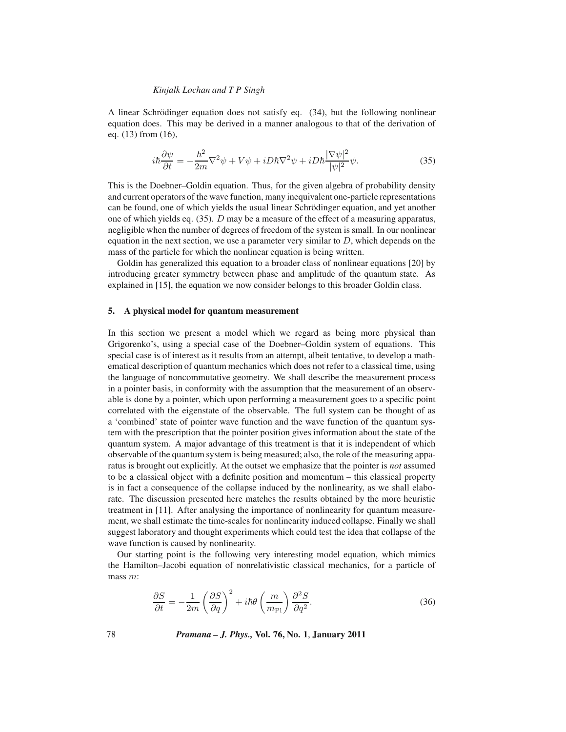A linear Schrödinger equation does not satisfy eq.  $(34)$ , but the following nonlinear equation does. This may be derived in a manner analogous to that of the derivation of eq. (13) from (16),

$$
i\hbar \frac{\partial \psi}{\partial t} = -\frac{\hbar^2}{2m} \nabla^2 \psi + V\psi + iD\hbar \nabla^2 \psi + iD\hbar \frac{|\nabla \psi|^2}{|\psi|^2} \psi.
$$
 (35)

This is the Doebner–Goldin equation. Thus, for the given algebra of probability density and current operators of the wave function, many inequivalent one-particle representations can be found, one of which yields the usual linear Schrödinger equation, and yet another one of which yields eq. (35). D may be a measure of the effect of a measuring apparatus, negligible when the number of degrees of freedom of the system is small. In our nonlinear equation in the next section, we use a parameter very similar to  $D$ , which depends on the mass of the particle for which the nonlinear equation is being written.

Goldin has generalized this equation to a broader class of nonlinear equations [20] by introducing greater symmetry between phase and amplitude of the quantum state. As explained in [15], the equation we now consider belongs to this broader Goldin class.

## **5. A physical model for quantum measurement**

In this section we present a model which we regard as being more physical than Grigorenko's, using a special case of the Doebner–Goldin system of equations. This special case is of interest as it results from an attempt, albeit tentative, to develop a mathematical description of quantum mechanics which does not refer to a classical time, using the language of noncommutative geometry. We shall describe the measurement process in a pointer basis, in conformity with the assumption that the measurement of an observable is done by a pointer, which upon performing a measurement goes to a specific point correlated with the eigenstate of the observable. The full system can be thought of as a 'combined' state of pointer wave function and the wave function of the quantum system with the prescription that the pointer position gives information about the state of the quantum system. A major advantage of this treatment is that it is independent of which observable of the quantum system is being measured; also, the role of the measuring apparatus is brought out explicitly. At the outset we emphasize that the pointer is *not* assumed to be a classical object with a definite position and momentum – this classical property is in fact a consequence of the collapse induced by the nonlinearity, as we shall elaborate. The discussion presented here matches the results obtained by the more heuristic treatment in [11]. After analysing the importance of nonlinearity for quantum measurement, we shall estimate the time-scales for nonlinearity induced collapse. Finally we shall suggest laboratory and thought experiments which could test the idea that collapse of the wave function is caused by nonlinearity.

Our starting point is the following very interesting model equation, which mimics the Hamilton–Jacobi equation of nonrelativistic classical mechanics, for a particle of mass m:

$$
\frac{\partial S}{\partial t} = -\frac{1}{2m} \left( \frac{\partial S}{\partial q} \right)^2 + i\hbar \theta \left( \frac{m}{m_{\rm Pl}} \right) \frac{\partial^2 S}{\partial q^2}.
$$
 (36)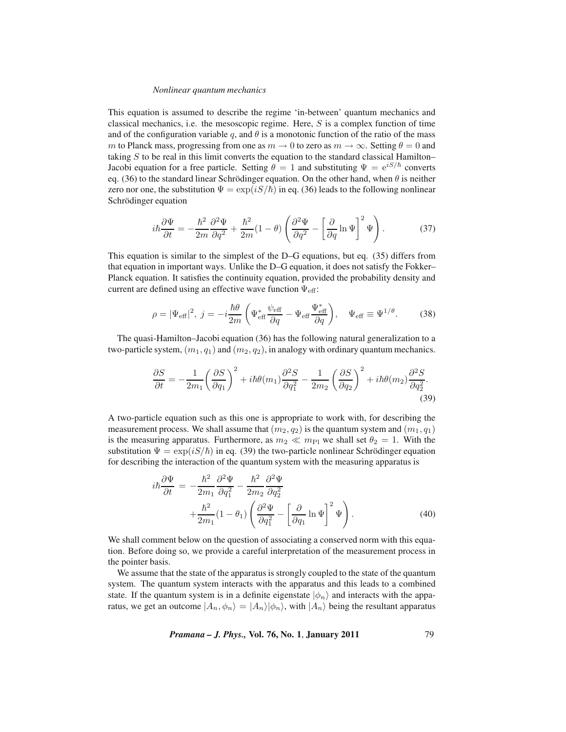This equation is assumed to describe the regime 'in-between' quantum mechanics and classical mechanics, i.e. the mesoscopic regime. Here,  $S$  is a complex function of time and of the configuration variable q, and  $\theta$  is a monotonic function of the ratio of the mass m to Planck mass, progressing from one as  $m \to 0$  to zero as  $m \to \infty$ . Setting  $\theta = 0$  and taking  $S$  to be real in this limit converts the equation to the standard classical Hamilton– Jacobi equation for a free particle. Setting  $\theta = 1$  and substituting  $\Psi = e^{iS/\hbar}$  converts eq. (36) to the standard linear Schrödinger equation. On the other hand, when  $\theta$  is neither zero nor one, the substitution  $\Psi = \exp(iS/\hbar)$  in eq. (36) leads to the following nonlinear Schrödinger equation

$$
i\hbar \frac{\partial \Psi}{\partial t} = -\frac{\hbar^2}{2m} \frac{\partial^2 \Psi}{\partial q^2} + \frac{\hbar^2}{2m} (1 - \theta) \left( \frac{\partial^2 \Psi}{\partial q^2} - \left[ \frac{\partial}{\partial q} \ln \Psi \right]^2 \Psi \right). \tag{37}
$$

This equation is similar to the simplest of the D–G equations, but eq. (35) differs from that equation in important ways. Unlike the D–G equation, it does not satisfy the Fokker– Planck equation. It satisfies the continuity equation, provided the probability density and current are defined using an effective wave function  $\Psi_{\text{eff}}$ :

$$
\rho = |\Psi_{\text{eff}}|^2, \ j = -i\frac{\hbar\theta}{2m} \left( \Psi_{\text{eff}}^* \frac{\psi_{\text{eff}}}{\partial q} - \Psi_{\text{eff}} \frac{\Psi_{\text{eff}}^*}{\partial q} \right), \quad \Psi_{\text{eff}} \equiv \Psi^{1/\theta}.
$$
 (38)

The quasi-Hamilton–Jacobi equation (36) has the following natural generalization to a two-particle system,  $(m_1, q_1)$  and  $(m_2, q_2)$ , in analogy with ordinary quantum mechanics.

$$
\frac{\partial S}{\partial t} = -\frac{1}{2m_1} \left( \frac{\partial S}{\partial q_1} \right)^2 + i\hbar \theta(m_1) \frac{\partial^2 S}{\partial q_1^2} - \frac{1}{2m_2} \left( \frac{\partial S}{\partial q_2} \right)^2 + i\hbar \theta(m_2) \frac{\partial^2 S}{\partial q_2^2}.
$$
\n(39)

A two-particle equation such as this one is appropriate to work with, for describing the measurement process. We shall assume that  $(m_2, q_2)$  is the quantum system and  $(m_1, q_1)$ is the measuring apparatus. Furthermore, as  $m_2 \ll m_{\text{Pl}}$  we shall set  $\theta_2 = 1$ . With the substitution  $\Psi = \exp(iS/\hbar)$  in eq. (39) the two-particle nonlinear Schrödinger equation for describing the interaction of the quantum system with the measuring apparatus is

$$
i\hbar \frac{\partial \Psi}{\partial t} = -\frac{\hbar^2}{2m_1} \frac{\partial^2 \Psi}{\partial q_1^2} - \frac{\hbar^2}{2m_2} \frac{\partial^2 \Psi}{\partial q_2^2} + \frac{\hbar^2}{2m_1} (1 - \theta_1) \left( \frac{\partial^2 \Psi}{\partial q_1^2} - \left[ \frac{\partial}{\partial q_1} \ln \Psi \right]^2 \Psi \right). \tag{40}
$$

We shall comment below on the question of associating a conserved norm with this equation. Before doing so, we provide a careful interpretation of the measurement process in the pointer basis.

We assume that the state of the apparatus is strongly coupled to the state of the quantum system. The quantum system interacts with the apparatus and this leads to a combined state. If the quantum system is in a definite eigenstate  $|\phi_n\rangle$  and interacts with the apparatus, we get an outcome  $|A_n, \phi_n\rangle = |A_n\rangle |\phi_n\rangle$ , with  $|A_n\rangle$  being the resultant apparatus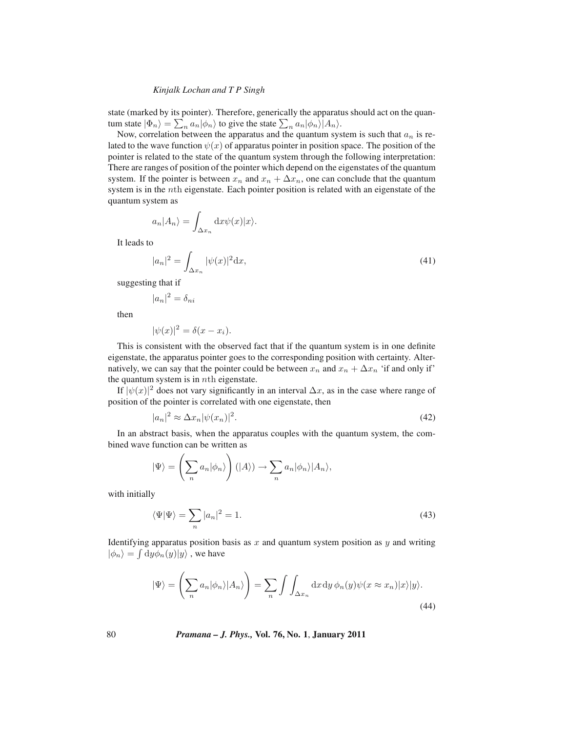state (marked by its pointer). Therefore, generically the apparatus should act on the quantum state  $|\Phi_n\rangle = \sum_n a_n |\phi_n\rangle$  to give the state  $\sum_n a_n |\phi_n\rangle |A_n\rangle$ .

Now, correlation between the apparatus and the quantum system is such that  $a_n$  is related to the wave function  $\psi(x)$  of apparatus pointer in position space. The position of the pointer is related to the state of the quantum system through the following interpretation: There are ranges of position of the pointer which depend on the eigenstates of the quantum system. If the pointer is between  $x_n$  and  $x_n + \Delta x_n$ , one can conclude that the quantum system is in the nth eigenstate. Each pointer position is related with an eigenstate of the quantum system as

$$
a_n|A_n\rangle = \int_{\Delta x_n} dx \psi(x)|x\rangle.
$$

It leads to

$$
|a_n|^2 = \int_{\Delta x_n} |\psi(x)|^2 \mathrm{d}x,\tag{41}
$$

suggesting that if

$$
|a_n|^2 = \delta_{ni}
$$

then

$$
|\psi(x)|^2 = \delta(x - x_i).
$$

This is consistent with the observed fact that if the quantum system is in one definite eigenstate, the apparatus pointer goes to the corresponding position with certainty. Alternatively, we can say that the pointer could be between  $x_n$  and  $x_n + \Delta x_n$  'if and only if' the quantum system is in  $n$ th eigenstate.

If  $|\psi(x)|^2$  does not vary significantly in an interval  $\Delta x$ , as in the case where range of position of the pointer is correlated with one eigenstate, then

$$
|a_n|^2 \approx \Delta x_n |\psi(x_n)|^2. \tag{42}
$$

In an abstract basis, when the apparatus couples with the quantum system, the combined wave function can be written as

$$
|\Psi\rangle = \left(\sum_n a_n |\phi_n\rangle\right) (|A\rangle) \rightarrow \sum_n a_n |\phi_n\rangle |A_n\rangle,
$$

with initially

$$
\langle \Psi | \Psi \rangle = \sum_{n} |a_n|^2 = 1. \tag{43}
$$

Identifying apparatus position basis as  $x$  and quantum system position as  $y$  and writing  $|\phi_n\rangle = \int dy \phi_n(y)|y\rangle$ , we have

$$
|\Psi\rangle = \left(\sum_{n} a_{n} |\phi_{n}\rangle|A_{n}\rangle\right) = \sum_{n} \int \int_{\Delta x_{n}} dx dy \, \phi_{n}(y) \psi(x \approx x_{n})|x\rangle|y\rangle.
$$
\n(44)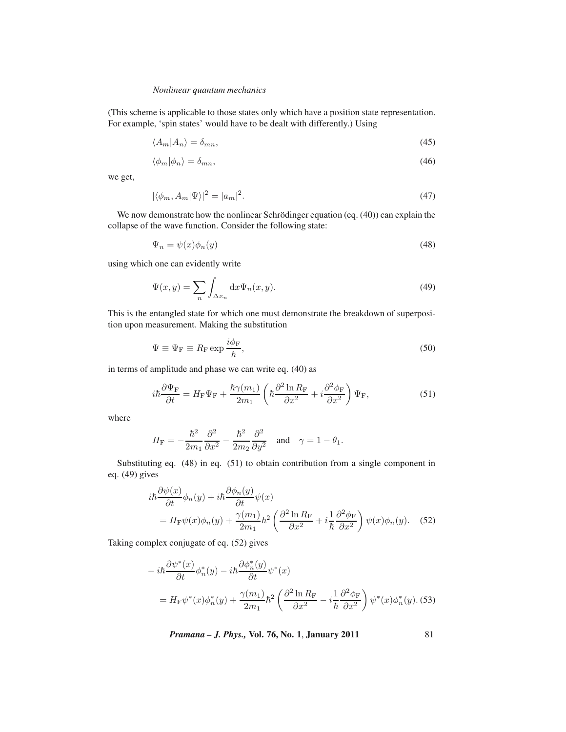(This scheme is applicable to those states only which have a position state representation. For example, 'spin states' would have to be dealt with differently.) Using

$$
\langle A_m | A_n \rangle = \delta_{mn},\tag{45}
$$

$$
\langle \phi_m | \phi_n \rangle = \delta_{mn},\tag{46}
$$

we get,

$$
|\langle \phi_m, A_m | \Psi \rangle|^2 = |a_m|^2. \tag{47}
$$

We now demonstrate how the nonlinear Schrödinger equation (eq.  $(40)$ ) can explain the collapse of the wave function. Consider the following state:

$$
\Psi_n = \psi(x)\phi_n(y) \tag{48}
$$

using which one can evidently write

$$
\Psi(x,y) = \sum_{n} \int_{\Delta x_n} dx \Psi_n(x,y).
$$
\n(49)

This is the entangled state for which one must demonstrate the breakdown of superposition upon measurement. Making the substitution

$$
\Psi \equiv \Psi_{\rm F} \equiv R_{\rm F} \exp \frac{i\phi_{\rm F}}{\hbar},\tag{50}
$$

in terms of amplitude and phase we can write eq. (40) as

$$
i\hbar \frac{\partial \Psi_{\rm F}}{\partial t} = H_{\rm F} \Psi_{\rm F} + \frac{\hbar \gamma (m_1)}{2m_1} \left( \hbar \frac{\partial^2 \ln R_{\rm F}}{\partial x^2} + i \frac{\partial^2 \phi_{\rm F}}{\partial x^2} \right) \Psi_{\rm F},\tag{51}
$$

where

$$
H_{\rm F}=-\frac{\hbar^2}{2m_1}\frac{\partial^2}{\partial x^2}-\frac{\hbar^2}{2m_2}\frac{\partial^2}{\partial y^2}\quad\text{and}\quad\gamma=1-\theta_1.
$$

Substituting eq. (48) in eq. (51) to obtain contribution from a single component in eq. (49) gives

$$
i\hbar \frac{\partial \psi(x)}{\partial t} \phi_n(y) + i\hbar \frac{\partial \phi_n(y)}{\partial t} \psi(x)
$$
  
=  $H_{\rm F} \psi(x) \phi_n(y) + \frac{\gamma(m_1)}{2m_1} \hbar^2 \left( \frac{\partial^2 \ln R_{\rm F}}{\partial x^2} + i \frac{1}{\hbar} \frac{\partial^2 \phi_{\rm F}}{\partial x^2} \right) \psi(x) \phi_n(y).$  (52)

Taking complex conjugate of eq. (52) gives

$$
-i\hbar \frac{\partial \psi^*(x)}{\partial t} \phi_n^*(y) - i\hbar \frac{\partial \phi_n^*(y)}{\partial t} \psi^*(x)
$$
  
=  $H_{\rm F} \psi^*(x) \phi_n^*(y) + \frac{\gamma(m_1)}{2m_1} \hbar^2 \left( \frac{\partial^2 \ln R_{\rm F}}{\partial x^2} - i \frac{1}{\hbar} \frac{\partial^2 \phi_{\rm F}}{\partial x^2} \right) \psi^*(x) \phi_n^*(y)$ . (53)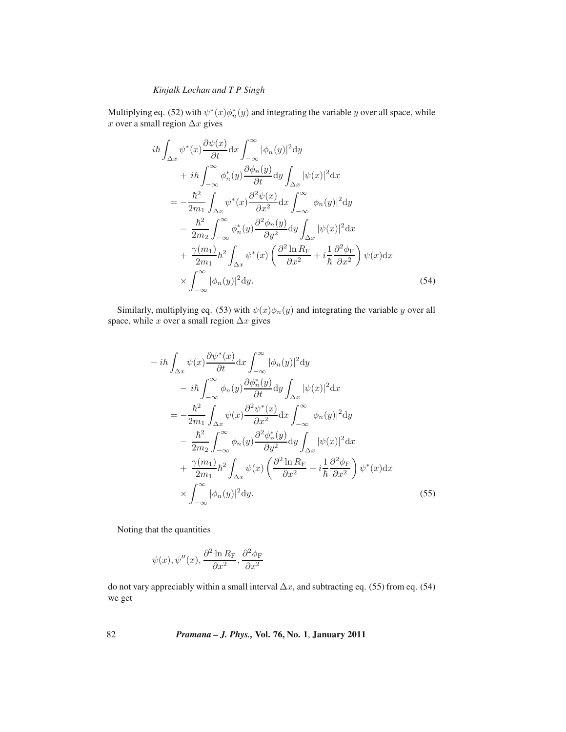Multiplying eq. (52) with  $\psi^*(x)\phi_n^*(y)$  and integrating the variable y over all space, while x over a small region  $\Delta x$  gives

$$
i\hbar \int_{\Delta x} \psi^*(x) \frac{\partial \psi(x)}{\partial t} dx \int_{-\infty}^{\infty} |\phi_n(y)|^2 dy + i\hbar \int_{-\infty}^{\infty} \phi_n^*(y) \frac{\partial \phi_n(y)}{\partial t} dy \int_{\Delta x} |\psi(x)|^2 dx = -\frac{\hbar^2}{2m_1} \int_{\Delta x} \psi^*(x) \frac{\partial^2 \psi(x)}{\partial x^2} dx \int_{-\infty}^{\infty} |\phi_n(y)|^2 dy - \frac{\hbar^2}{2m_2} \int_{-\infty}^{\infty} \phi_n^*(y) \frac{\partial^2 \phi_n(y)}{\partial y^2} dy \int_{\Delta x} |\psi(x)|^2 dx + \frac{\gamma(m_1)}{2m_1} \hbar^2 \int_{\Delta x} \psi^*(x) \left( \frac{\partial^2 \ln R_F}{\partial x^2} + i \frac{1}{\hbar} \frac{\partial^2 \phi_F}{\partial x^2} \right) \psi(x) dx \times \int_{-\infty}^{\infty} |\phi_n(y)|^2 dy.
$$
 (54)

Similarly, multiplying eq. (53) with  $\psi(x)\phi_n(y)$  and integrating the variable y over all space, while x over a small region  $\Delta x$  gives

$$
-i\hbar \int_{\Delta x} \psi(x) \frac{\partial \psi^*(x)}{\partial t} dx \int_{-\infty}^{\infty} |\phi_n(y)|^2 dy
$$
  
\n
$$
-i\hbar \int_{-\infty}^{\infty} \phi_n(y) \frac{\partial \phi_n^*(y)}{\partial t} dy \int_{\Delta x} |\psi(x)|^2 dx
$$
  
\n
$$
= -\frac{\hbar^2}{2m_1} \int_{\Delta x} \psi(x) \frac{\partial^2 \psi^*(x)}{\partial x^2} dx \int_{-\infty}^{\infty} |\phi_n(y)|^2 dy
$$
  
\n
$$
- \frac{\hbar^2}{2m_2} \int_{-\infty}^{\infty} \phi_n(y) \frac{\partial^2 \phi_n^*(y)}{\partial y^2} dy \int_{\Delta x} |\psi(x)|^2 dx
$$
  
\n
$$
+ \frac{\gamma(m_1)}{2m_1} \hbar^2 \int_{\Delta x} \psi(x) \left( \frac{\partial^2 \ln R_{\rm F}}{\partial x^2} - i \frac{1}{\hbar} \frac{\partial^2 \phi_{\rm F}}{\partial x^2} \right) \psi^*(x) dx
$$
  
\n
$$
\times \int_{-\infty}^{\infty} |\phi_n(y)|^2 dy.
$$
 (55)

Noting that the quantities

$$
\psi(x), \psi''(x), \frac{\partial^2 \ln R_{\mathrm{F}}}{\partial x^2}, \frac{\partial^2 \phi_{\mathrm{F}}}{\partial x^2}
$$

do not vary appreciably within a small interval  $\Delta x$ , and subtracting eq. (55) from eq. (54) we get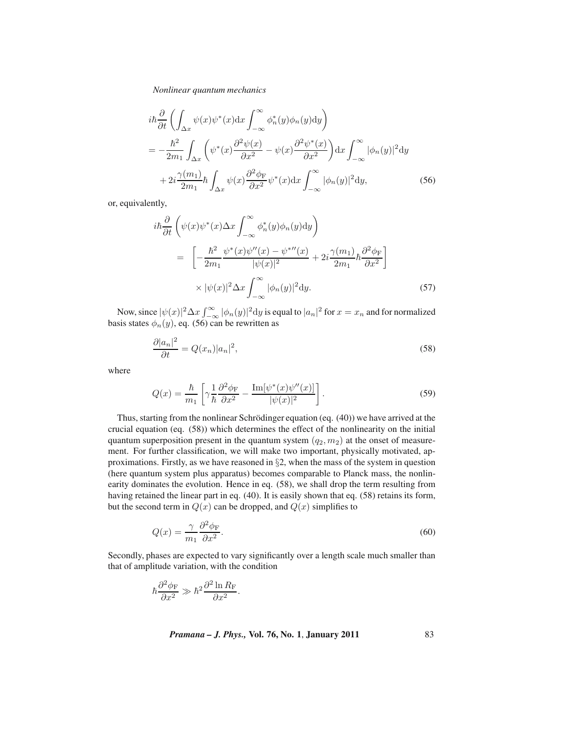$$
i\hbar \frac{\partial}{\partial t} \left( \int_{\Delta x} \psi(x) \psi^*(x) dx \int_{-\infty}^{\infty} \phi_n^*(y) \phi_n(y) dy \right)
$$
  
= 
$$
- \frac{\hbar^2}{2m_1} \int_{\Delta x} \left( \psi^*(x) \frac{\partial^2 \psi(x)}{\partial x^2} - \psi(x) \frac{\partial^2 \psi^*(x)}{\partial x^2} \right) dx \int_{-\infty}^{\infty} |\phi_n(y)|^2 dy
$$
  
+ 
$$
2i \frac{\gamma(m_1)}{2m_1} \hbar \int_{\Delta x} \psi(x) \frac{\partial^2 \phi_F}{\partial x^2} \psi^*(x) dx \int_{-\infty}^{\infty} |\phi_n(y)|^2 dy,
$$
(56)

or, equivalently,

$$
i\hbar \frac{\partial}{\partial t} \left( \psi(x)\psi^*(x)\Delta x \int_{-\infty}^{\infty} \phi_n^*(y)\phi_n(y)dy \right)
$$
  
= 
$$
\left[ -\frac{\hbar^2}{2m_1} \frac{\psi^*(x)\psi''(x) - \psi^{*''}(x)}{|\psi(x)|^2} + 2i \frac{\gamma(m_1)}{2m_1} \hbar \frac{\partial^2 \phi_F}{\partial x^2} \right]
$$
  

$$
\times |\psi(x)|^2 \Delta x \int_{-\infty}^{\infty} |\phi_n(y)|^2 dy.
$$
 (57)

Now, since  $|\psi(x)|^2 \Delta x \int_{-\infty}^{\infty} |\phi_n(y)|^2 dy$  is equal to  $|a_n|^2$  for  $x = x_n$  and for normalized basis states  $\phi_n(y)$ , eq. (56) can be rewritten as

$$
\frac{\partial |a_n|^2}{\partial t} = Q(x_n)|a_n|^2,\tag{58}
$$

where

$$
Q(x) = \frac{\hbar}{m_1} \left[ \gamma \frac{1}{\hbar} \frac{\partial^2 \phi_F}{\partial x^2} - \frac{\text{Im}[\psi^*(x)\psi''(x)]}{|\psi(x)|^2} \right].
$$
 (59)

Thus, starting from the nonlinear Schrödinger equation (eq. (40)) we have arrived at the crucial equation (eq. (58)) which determines the effect of the nonlinearity on the initial quantum superposition present in the quantum system  $(q_2, m_2)$  at the onset of measurement. For further classification, we will make two important, physically motivated, approximations. Firstly, as we have reasoned in §2, when the mass of the system in question (here quantum system plus apparatus) becomes comparable to Planck mass, the nonlinearity dominates the evolution. Hence in eq. (58), we shall drop the term resulting from having retained the linear part in eq. (40). It is easily shown that eq. (58) retains its form, but the second term in  $Q(x)$  can be dropped, and  $Q(x)$  simplifies to

$$
Q(x) = \frac{\gamma}{m_1} \frac{\partial^2 \phi_F}{\partial x^2}.
$$
\n(60)

Secondly, phases are expected to vary significantly over a length scale much smaller than that of amplitude variation, with the condition

$$
\hbar \frac{\partial^2 \phi_{\rm F}}{\partial x^2} \gg \hbar^2 \frac{\partial^2 \ln R_{\rm F}}{\partial x^2}.
$$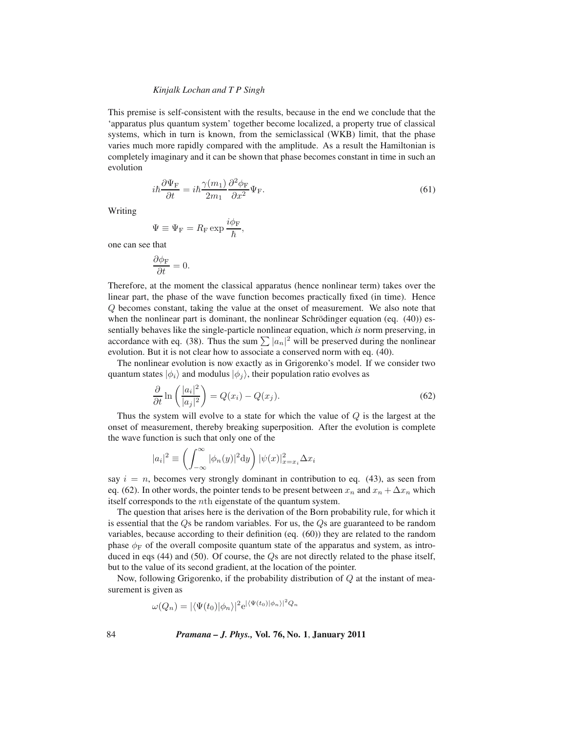This premise is self-consistent with the results, because in the end we conclude that the 'apparatus plus quantum system' together become localized, a property true of classical systems, which in turn is known, from the semiclassical (WKB) limit, that the phase varies much more rapidly compared with the amplitude. As a result the Hamiltonian is completely imaginary and it can be shown that phase becomes constant in time in such an evolution

$$
i\hbar \frac{\partial \Psi_{\rm F}}{\partial t} = i\hbar \frac{\gamma(m_1)}{2m_1} \frac{\partial^2 \phi_{\rm F}}{\partial x^2} \Psi_{\rm F}.
$$
 (61)

Writing

$$
\Psi \equiv \Psi_{\rm F} = R_{\rm F} \exp \frac{i \phi_{\rm F}}{\hbar},
$$

one can see that

$$
\frac{\partial \phi_{\mathrm{F}}}{\partial t} = 0.
$$

Therefore, at the moment the classical apparatus (hence nonlinear term) takes over the linear part, the phase of the wave function becomes practically fixed (in time). Hence Q becomes constant, taking the value at the onset of measurement. We also note that when the nonlinear part is dominant, the nonlinear Schrödinger equation (eq.  $(40)$ ) essentially behaves like the single-particle nonlinear equation, which *is* norm preserving, in accordance with eq. (38). Thus the sum  $\sum |a_n|^2$  will be preserved during the nonlinear evolution. But it is not clear how to associate a conserved norm with eq. (40).

The nonlinear evolution is now exactly as in Grigorenko's model. If we consider two quantum states  $|\phi_i\rangle$  and modulus  $|\phi_j\rangle$ , their population ratio evolves as

$$
\frac{\partial}{\partial t} \ln \left( \frac{|a_i|^2}{|a_j|^2} \right) = Q(x_i) - Q(x_j). \tag{62}
$$

Thus the system will evolve to a state for which the value of  $Q$  is the largest at the onset of measurement, thereby breaking superposition. After the evolution is complete the wave function is such that only one of the

$$
|a_i|^2 \equiv \left(\int_{-\infty}^{\infty} |\phi_n(y)|^2 dy\right) |\psi(x)|_{x=x_i}^2 \Delta x_i
$$

say  $i = n$ , becomes very strongly dominant in contribution to eq. (43), as seen from eq. (62). In other words, the pointer tends to be present between  $x_n$  and  $x_n + \Delta x_n$  which itself corresponds to the nth eigenstate of the quantum system.

The question that arises here is the derivation of the Born probability rule, for which it is essential that the  $\overline{Q}$ s be random variables. For us, the  $\overline{Q}$ s are guaranteed to be random variables, because according to their definition (eq. (60)) they are related to the random phase  $\phi_F$  of the overall composite quantum state of the apparatus and system, as introduced in eqs  $(44)$  and  $(50)$ . Of course, the  $Q_s$  are not directly related to the phase itself, but to the value of its second gradient, at the location of the pointer.

Now, following Grigorenko, if the probability distribution of  $Q$  at the instant of measurement is given as

$$
\omega(Q_n) = |\langle \Psi(t_0)|\phi_n\rangle|^2 e^{|\langle \Psi(t_0)|\phi_n\rangle|^2 Q_n}
$$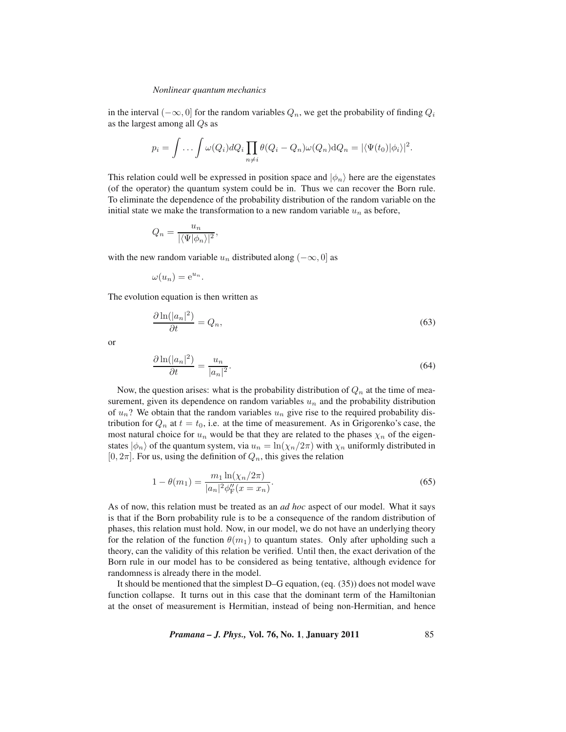in the interval  $(-\infty, 0]$  for the random variables  $Q_n$ , we get the probability of finding  $Q_i$ as the largest among all Qs as

$$
p_i = \int \ldots \int \omega(Q_i) dQ_i \prod_{n \neq i} \theta(Q_i - Q_n) \omega(Q_n) dQ_n = |\langle \Psi(t_0) | \phi_i \rangle|^2.
$$

This relation could well be expressed in position space and  $|\phi_n\rangle$  here are the eigenstates (of the operator) the quantum system could be in. Thus we can recover the Born rule. To eliminate the dependence of the probability distribution of the random variable on the initial state we make the transformation to a new random variable  $u_n$  as before,

$$
Q_n = \frac{u_n}{|\langle \Psi | \phi_n \rangle|^2},
$$

with the new random variable  $u_n$  distributed along  $(-\infty, 0]$  as

$$
\omega(u_n) = e^{u_n}.
$$

The evolution equation is then written as

$$
\frac{\partial \ln(|a_n|^2)}{\partial t} = Q_n,\tag{63}
$$

or

$$
\frac{\partial \ln(|a_n|^2)}{\partial t} = \frac{u_n}{|a_n|^2}.\tag{64}
$$

Now, the question arises: what is the probability distribution of  $Q_n$  at the time of measurement, given its dependence on random variables  $u_n$  and the probability distribution of  $u_n$ ? We obtain that the random variables  $u_n$  give rise to the required probability distribution for  $Q_n$  at  $t = t_0$ , i.e. at the time of measurement. As in Grigorenko's case, the most natural choice for  $u_n$  would be that they are related to the phases  $\chi_n$  of the eigenstates  $|\phi_n\rangle$  of the quantum system, via  $u_n = \ln(\chi_n/2\pi)$  with  $\chi_n$  uniformly distributed in  $[0, 2\pi]$ . For us, using the definition of  $Q_n$ , this gives the relation

$$
1 - \theta(m_1) = \frac{m_1 \ln(\chi_n/2\pi)}{|a_n|^2 \phi_{\mathcal{F}}''(x = x_n)}.
$$
\n(65)

As of now, this relation must be treated as an *ad hoc* aspect of our model. What it says is that if the Born probability rule is to be a consequence of the random distribution of phases, this relation must hold. Now, in our model, we do not have an underlying theory for the relation of the function  $\theta(m_1)$  to quantum states. Only after upholding such a theory, can the validity of this relation be verified. Until then, the exact derivation of the Born rule in our model has to be considered as being tentative, although evidence for randomness is already there in the model.

It should be mentioned that the simplest D–G equation, (eq. (35)) does not model wave function collapse. It turns out in this case that the dominant term of the Hamiltonian at the onset of measurement is Hermitian, instead of being non-Hermitian, and hence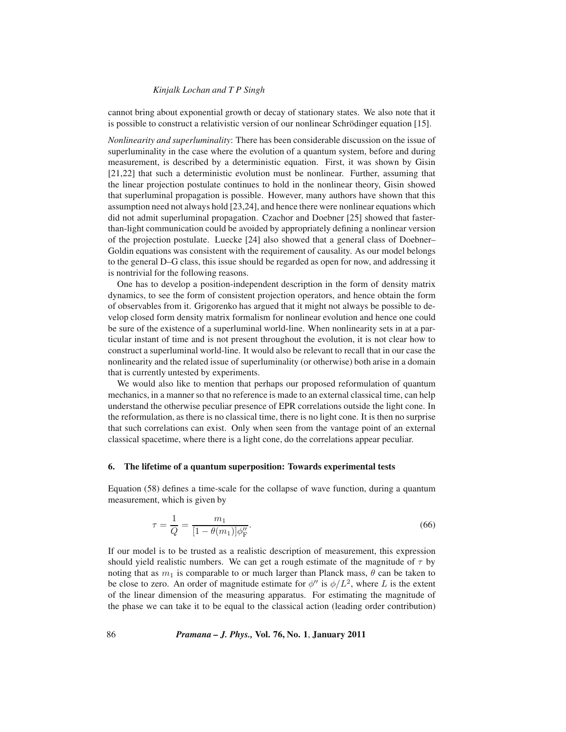cannot bring about exponential growth or decay of stationary states. We also note that it is possible to construct a relativistic version of our nonlinear Schrödinger equation [15].

*Nonlinearity and superluminality*: There has been considerable discussion on the issue of superluminality in the case where the evolution of a quantum system, before and during measurement, is described by a deterministic equation. First, it was shown by Gisin [21,22] that such a deterministic evolution must be nonlinear. Further, assuming that the linear projection postulate continues to hold in the nonlinear theory, Gisin showed that superluminal propagation is possible. However, many authors have shown that this assumption need not always hold [23,24], and hence there were nonlinear equations which did not admit superluminal propagation. Czachor and Doebner [25] showed that fasterthan-light communication could be avoided by appropriately defining a nonlinear version of the projection postulate. Luecke [24] also showed that a general class of Doebner– Goldin equations was consistent with the requirement of causality. As our model belongs to the general D–G class, this issue should be regarded as open for now, and addressing it is nontrivial for the following reasons.

One has to develop a position-independent description in the form of density matrix dynamics, to see the form of consistent projection operators, and hence obtain the form of observables from it. Grigorenko has argued that it might not always be possible to develop closed form density matrix formalism for nonlinear evolution and hence one could be sure of the existence of a superluminal world-line. When nonlinearity sets in at a particular instant of time and is not present throughout the evolution, it is not clear how to construct a superluminal world-line. It would also be relevant to recall that in our case the nonlinearity and the related issue of superluminality (or otherwise) both arise in a domain that is currently untested by experiments.

We would also like to mention that perhaps our proposed reformulation of quantum mechanics, in a manner so that no reference is made to an external classical time, can help understand the otherwise peculiar presence of EPR correlations outside the light cone. In the reformulation, as there is no classical time, there is no light cone. It is then no surprise that such correlations can exist. Only when seen from the vantage point of an external classical spacetime, where there is a light cone, do the correlations appear peculiar.

## **6. The lifetime of a quantum superposition: Towards experimental tests**

Equation (58) defines a time-scale for the collapse of wave function, during a quantum measurement, which is given by

$$
\tau = \frac{1}{Q} = \frac{m_1}{[1 - \theta(m_1)]\phi''_{\rm F}}.\tag{66}
$$

If our model is to be trusted as a realistic description of measurement, this expression should yield realistic numbers. We can get a rough estimate of the magnitude of  $\tau$  by noting that as  $m_1$  is comparable to or much larger than Planck mass,  $\theta$  can be taken to be close to zero. An order of magnitude estimate for  $\phi''$  is  $\phi/L^2$ , where L is the extent of the linear dimension of the measuring apparatus. For estimating the magnitude of the phase we can take it to be equal to the classical action (leading order contribution)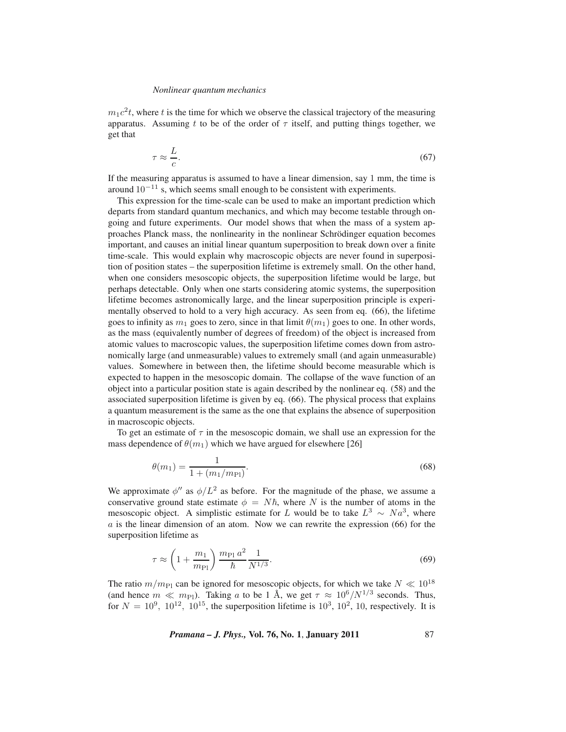$m_1c^2t$ , where t is the time for which we observe the classical trajectory of the measuring apparatus. Assuming t to be of the order of  $\tau$  itself, and putting things together, we get that

$$
\tau \approx \frac{L}{c}.\tag{67}
$$

If the measuring apparatus is assumed to have a linear dimension, say 1 mm, the time is around  $10^{-11}$  s, which seems small enough to be consistent with experiments.

This expression for the time-scale can be used to make an important prediction which departs from standard quantum mechanics, and which may become testable through ongoing and future experiments. Our model shows that when the mass of a system approaches Planck mass, the nonlinearity in the nonlinear Schrödinger equation becomes important, and causes an initial linear quantum superposition to break down over a finite time-scale. This would explain why macroscopic objects are never found in superposition of position states – the superposition lifetime is extremely small. On the other hand, when one considers mesoscopic objects, the superposition lifetime would be large, but perhaps detectable. Only when one starts considering atomic systems, the superposition lifetime becomes astronomically large, and the linear superposition principle is experimentally observed to hold to a very high accuracy. As seen from eq. (66), the lifetime goes to infinity as  $m_1$  goes to zero, since in that limit  $\theta(m_1)$  goes to one. In other words, as the mass (equivalently number of degrees of freedom) of the object is increased from atomic values to macroscopic values, the superposition lifetime comes down from astronomically large (and unmeasurable) values to extremely small (and again unmeasurable) values. Somewhere in between then, the lifetime should become measurable which is expected to happen in the mesoscopic domain. The collapse of the wave function of an object into a particular position state is again described by the nonlinear eq. (58) and the associated superposition lifetime is given by eq. (66). The physical process that explains a quantum measurement is the same as the one that explains the absence of superposition in macroscopic objects.

To get an estimate of  $\tau$  in the mesoscopic domain, we shall use an expression for the mass dependence of  $\theta(m_1)$  which we have argued for elsewhere [26]

$$
\theta(m_1) = \frac{1}{1 + (m_1/m_{\rm Pl})}.\tag{68}
$$

We approximate  $\phi''$  as  $\phi/L^2$  as before. For the magnitude of the phase, we assume a conservative ground state estimate  $\phi = N\hbar$ , where N is the number of atoms in the mesoscopic object. A simplistic estimate for L would be to take  $L^3 \sim Na^3$ , where a is the linear dimension of an atom. Now we can rewrite the expression (66) for the superposition lifetime as

$$
\tau \approx \left(1 + \frac{m_1}{m_{\rm Pl}}\right) \frac{m_{\rm Pl} a^2}{\hbar} \frac{1}{N^{1/3}}.\tag{69}
$$

The ratio  $m/m_{\rm Pl}$  can be ignored for mesoscopic objects, for which we take  $N \ll 10^{18}$ (and hence  $m \ll m_{\text{Pl}}$ ). Taking a to be 1 Å, we get  $\tau \approx 10^6/N^{1/3}$  seconds. Thus, for  $N = 10^9$ ,  $10^{12}$ ,  $10^{15}$ , the superposition lifetime is  $10^3$ ,  $10^2$ , 10, respectively. It is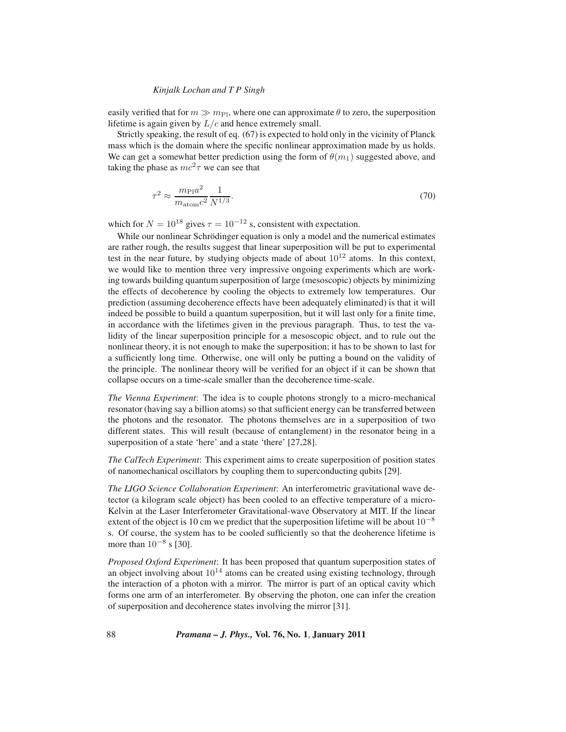easily verified that for  $m \gg m_{\text{Pl}}$ , where one can approximate  $\theta$  to zero, the superposition lifetime is again given by  $L/c$  and hence extremely small.

Strictly speaking, the result of eq. (67) is expected to hold only in the vicinity of Planck mass which is the domain where the specific nonlinear approximation made by us holds. We can get a somewhat better prediction using the form of  $\theta(m_1)$  suggested above, and taking the phase as  $mc^2\tau$  we can see that

$$
\tau^2 \approx \frac{m_{\text{Pl}}a^2}{m_{\text{atom}}c^2} \frac{1}{N^{1/3}}.\tag{70}
$$

which for  $N = 10^{18}$  gives  $\tau = 10^{-12}$  s, consistent with expectation.

While our nonlinear Schrödinger equation is only a model and the numerical estimates are rather rough, the results suggest that linear superposition will be put to experimental test in the near future, by studying objects made of about  $10^{12}$  atoms. In this context, we would like to mention three very impressive ongoing experiments which are working towards building quantum superposition of large (mesoscopic) objects by minimizing the effects of decoherence by cooling the objects to extremely low temperatures. Our prediction (assuming decoherence effects have been adequately eliminated) is that it will indeed be possible to build a quantum superposition, but it will last only for a finite time, in accordance with the lifetimes given in the previous paragraph. Thus, to test the validity of the linear superposition principle for a mesoscopic object, and to rule out the nonlinear theory, it is not enough to make the superposition; it has to be shown to last for a sufficiently long time. Otherwise, one will only be putting a bound on the validity of the principle. The nonlinear theory will be verified for an object if it can be shown that collapse occurs on a time-scale smaller than the decoherence time-scale.

*The Vienna Experiment*: The idea is to couple photons strongly to a micro-mechanical resonator (having say a billion atoms) so that sufficient energy can be transferred between the photons and the resonator. The photons themselves are in a superposition of two different states. This will result (because of entanglement) in the resonator being in a superposition of a state 'here' and a state 'there' [27,28].

*The CalTech Experiment*: This experiment aims to create superposition of position states of nanomechanical oscillators by coupling them to superconducting qubits [29].

*The LIGO Science Collaboration Experiment*: An interferometric gravitational wave detector (a kilogram scale object) has been cooled to an effective temperature of a micro-Kelvin at the Laser Interferometer Gravitational-wave Observatory at MIT. If the linear extent of the object is 10 cm we predict that the superposition lifetime will be about  $10^{-8}$ s. Of course, the system has to be cooled sufficiently so that the deoherence lifetime is more than  $10^{-8}$  s [30].

*Proposed Oxford Experiment*: It has been proposed that quantum superposition states of an object involving about  $10^{14}$  atoms can be created using existing technology, through the interaction of a photon with a mirror. The mirror is part of an optical cavity which forms one arm of an interferometer. By observing the photon, one can infer the creation of superposition and decoherence states involving the mirror [31].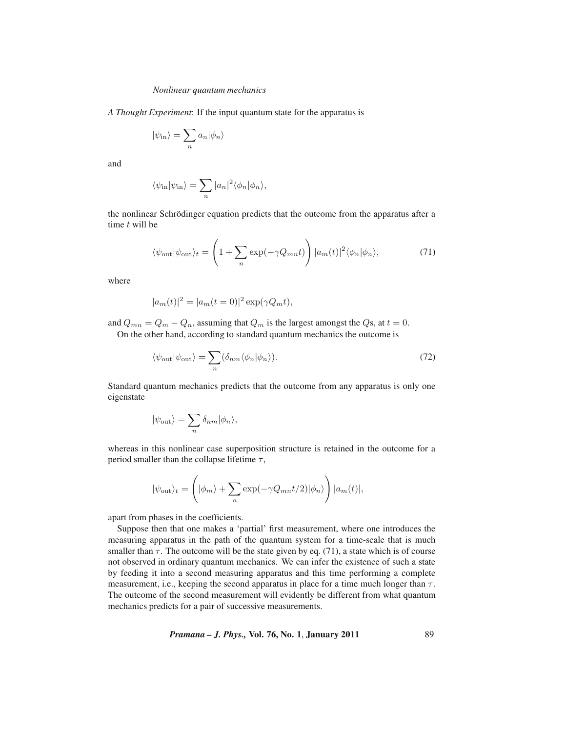*A Thought Experiment*: If the input quantum state for the apparatus is

$$
|\psi_{\rm in}\rangle = \sum_n a_n |\phi_n\rangle
$$

and

$$
\langle \psi_{\rm in} | \psi_{\rm in} \rangle = \sum_{n} |a_n|^2 \langle \phi_n | \phi_n \rangle,
$$

the nonlinear Schrödinger equation predicts that the outcome from the apparatus after a time  $t$  will be

$$
\langle \psi_{\text{out}} | \psi_{\text{out}} \rangle_t = \left( 1 + \sum_n \exp(-\gamma Q_{mn} t) \right) |a_m(t)|^2 \langle \phi_n | \phi_n \rangle, \tag{71}
$$

where

$$
|a_m(t)|^2 = |a_m(t=0)|^2 \exp(\gamma Q_m t),
$$

and  $Q_{mn} = Q_m - Q_n$ , assuming that  $Q_m$  is the largest amongst the  $Q_s$ , at  $t = 0$ . On the other hand, according to standard quantum mechanics the outcome is

$$
\langle \psi_{\text{out}} | \psi_{\text{out}} \rangle = \sum_{n} (\delta_{nm} \langle \phi_{n} | \phi_{n} \rangle). \tag{72}
$$

Standard quantum mechanics predicts that the outcome from any apparatus is only one eigenstate

$$
|\psi_{\text{out}}\rangle = \sum_{n} \delta_{nm} |\phi_n\rangle,
$$

whereas in this nonlinear case superposition structure is retained in the outcome for a period smaller than the collapse lifetime  $\tau$ ,

$$
|\psi_{\text{out}}\rangle_t = \left( |\phi_m\rangle + \sum_n \exp(-\gamma Q_{mn} t/2)|\phi_n\rangle \right) |a_m(t)|,
$$

apart from phases in the coefficients.

Suppose then that one makes a 'partial' first measurement, where one introduces the measuring apparatus in the path of the quantum system for a time-scale that is much smaller than  $\tau$ . The outcome will be the state given by eq. (71), a state which is of course not observed in ordinary quantum mechanics. We can infer the existence of such a state by feeding it into a second measuring apparatus and this time performing a complete measurement, i.e., keeping the second apparatus in place for a time much longer than  $\tau$ . The outcome of the second measurement will evidently be different from what quantum mechanics predicts for a pair of successive measurements.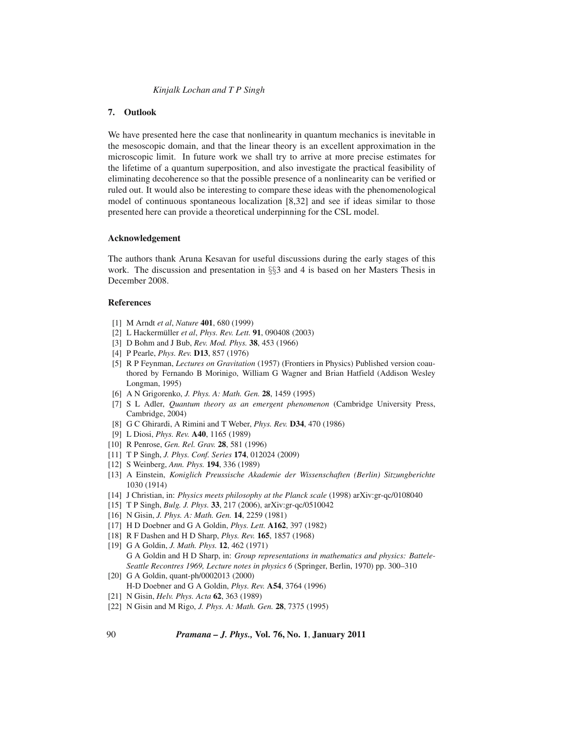## **7. Outlook**

We have presented here the case that nonlinearity in quantum mechanics is inevitable in the mesoscopic domain, and that the linear theory is an excellent approximation in the microscopic limit. In future work we shall try to arrive at more precise estimates for the lifetime of a quantum superposition, and also investigate the practical feasibility of eliminating decoherence so that the possible presence of a nonlinearity can be verified or ruled out. It would also be interesting to compare these ideas with the phenomenological model of continuous spontaneous localization [8,32] and see if ideas similar to those presented here can provide a theoretical underpinning for the CSL model.

## **Acknowledgement**

The authors thank Aruna Kesavan for useful discussions during the early stages of this work. The discussion and presentation in §§3 and 4 is based on her Masters Thesis in December 2008.

## **References**

- [1] M Arndt *et al*, *Nature* **401**, 680 (1999)
- [2] L Hackermüller *et al, Phys. Rev. Lett.* **91**, 090408 (2003)
- [3] D Bohm and J Bub, *Rev. Mod. Phys.* **38**, 453 (1966)
- [4] P Pearle, *Phys. Rev.* **D13**, 857 (1976)
- [5] R P Feynman, *Lectures on Gravitation* (1957) (Frontiers in Physics) Published version coauthored by Fernando B Morinigo, William G Wagner and Brian Hatfield (Addison Wesley Longman, 1995)
- [6] A N Grigorenko, *J. Phys. A: Math. Gen.* **28**, 1459 (1995)
- [7] S L Adler, *Quantum theory as an emergent phenomenon* (Cambridge University Press, Cambridge, 2004)
- [8] G C Ghirardi, A Rimini and T Weber, *Phys. Rev.* **D34**, 470 (1986)
- [9] L Diosi, *Phys. Rev.* **A40**, 1165 (1989)
- [10] R Penrose, *Gen. Rel. Grav.* **28**, 581 (1996)
- [11] T P Singh, *J. Phys. Conf. Series* **174**, 012024 (2009)
- [12] S Weinberg, *Ann. Phys.* **194**, 336 (1989)
- [13] A Einstein, *Koniglich Preussische Akademie der Wissenschaften (Berlin) Sitzungberichte* 1030 (1914)
- [14] J Christian, in: *Physics meets philosophy at the Planck scale* (1998) arXiv:gr-qc/0108040
- [15] T P Singh, *Bulg. J. Phys.* **33**, 217 (2006), arXiv:gr-qc/0510042
- [16] N Gisin, *J. Phys. A: Math. Gen.* **14**, 2259 (1981)
- [17] H D Doebner and G A Goldin, *Phys. Lett.* **A162**, 397 (1982)
- [18] R F Dashen and H D Sharp, *Phys. Rev.* **165**, 1857 (1968)
- [19] G A Goldin, *J. Math. Phys.* **12**, 462 (1971) G A Goldin and H D Sharp, in: *Group representations in mathematics and physics: Battele-Seattle Recontres 1969, Lecture notes in physics 6* (Springer, Berlin, 1970) pp. 300–310
- [20] G A Goldin, quant-ph/0002013 (2000) H-D Doebner and G A Goldin, *Phys. Rev.* **A54**, 3764 (1996)
- [21] N Gisin, *Helv. Phys. Acta* **62**, 363 (1989)
- [22] N Gisin and M Rigo, *J. Phys. A: Math. Gen.* **28**, 7375 (1995)